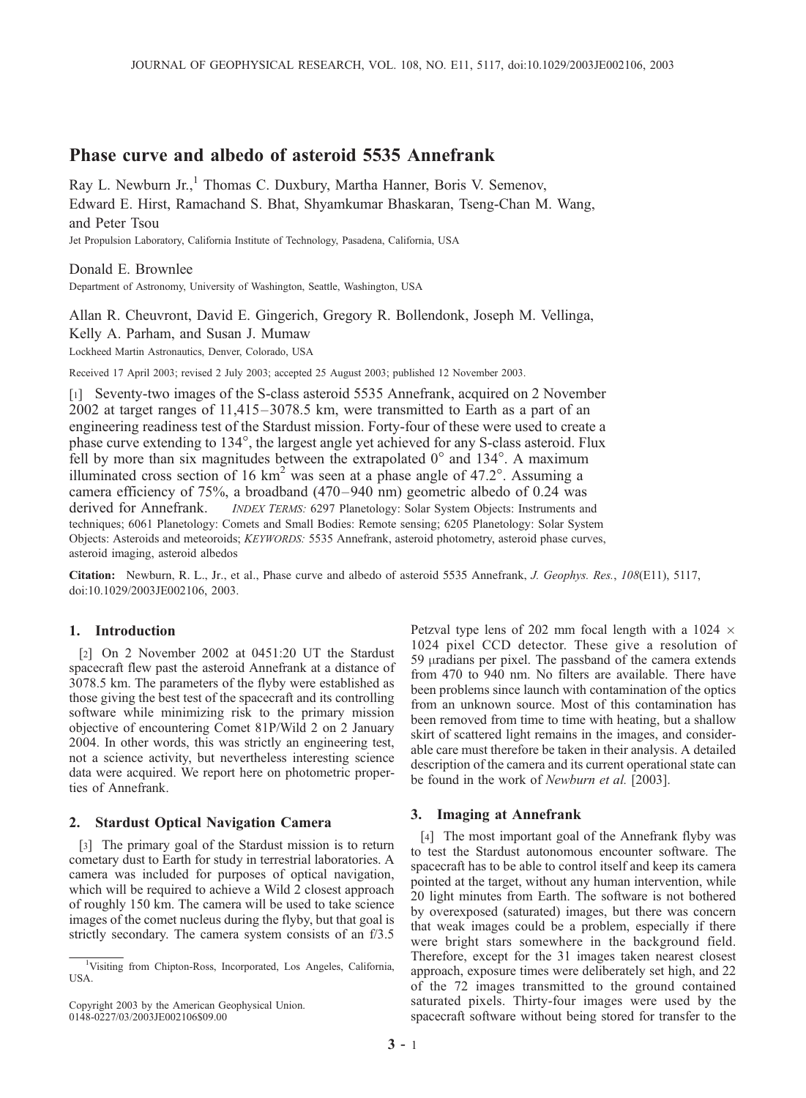# Phase curve and albedo of asteroid 5535 Annefrank

Ray L. Newburn Jr.,<sup>1</sup> Thomas C. Duxbury, Martha Hanner, Boris V. Semenov, Edward E. Hirst, Ramachand S. Bhat, Shyamkumar Bhaskaran, Tseng-Chan M. Wang, and Peter Tsou

Jet Propulsion Laboratory, California Institute of Technology, Pasadena, California, USA

## Donald E. Brownlee

Department of Astronomy, University of Washington, Seattle, Washington, USA

Allan R. Cheuvront, David E. Gingerich, Gregory R. Bollendonk, Joseph M. Vellinga,

Kelly A. Parham, and Susan J. Mumaw

Lockheed Martin Astronautics, Denver, Colorado, USA

Received 17 April 2003; revised 2 July 2003; accepted 25 August 2003; published 12 November 2003.

[1] Seventy-two images of the S-class asteroid 5535 Annefrank, acquired on 2 November 2002 at target ranges of 11,415–3078.5 km, were transmitted to Earth as a part of an engineering readiness test of the Stardust mission. Forty-four of these were used to create a phase curve extending to 134°, the largest angle yet achieved for any S-class asteroid. Flux fell by more than six magnitudes between the extrapolated  $0^{\circ}$  and  $134^{\circ}$ . A maximum illuminated cross section of 16  $km^2$  was seen at a phase angle of 47.2°. Assuming a camera efficiency of 75%, a broadband (470–940 nm) geometric albedo of 0.24 was derived for Annefrank. *INDEX TERMS:* 6297 Planetology: Solar System Objects: Instruments and techniques; 6061 Planetology: Comets and Small Bodies: Remote sensing; 6205 Planetology: Solar System Objects: Asteroids and meteoroids; KEYWORDS: 5535 Annefrank, asteroid photometry, asteroid phase curves, asteroid imaging, asteroid albedos

Citation: Newburn, R. L., Jr., et al., Phase curve and albedo of asteroid 5535 Annefrank, J. Geophys. Res., 108(E11), 5117, doi:10.1029/2003JE002106, 2003.

## 1. Introduction

[2] On 2 November 2002 at 0451:20 UT the Stardust spacecraft flew past the asteroid Annefrank at a distance of 3078.5 km. The parameters of the flyby were established as those giving the best test of the spacecraft and its controlling software while minimizing risk to the primary mission objective of encountering Comet 81P/Wild 2 on 2 January 2004. In other words, this was strictly an engineering test, not a science activity, but nevertheless interesting science data were acquired. We report here on photometric properties of Annefrank.

### 2. Stardust Optical Navigation Camera

[3] The primary goal of the Stardust mission is to return cometary dust to Earth for study in terrestrial laboratories. A camera was included for purposes of optical navigation, which will be required to achieve a Wild 2 closest approach of roughly 150 km. The camera will be used to take science images of the comet nucleus during the flyby, but that goal is strictly secondary. The camera system consists of an f/3.5

Copyright 2003 by the American Geophysical Union. 0148-0227/03/2003JE002106\$09.00

Petzval type lens of 202 mm focal length with a 1024  $\times$ 1024 pixel CCD detector. These give a resolution of 59 µradians per pixel. The passband of the camera extends from 470 to 940 nm. No filters are available. There have been problems since launch with contamination of the optics from an unknown source. Most of this contamination has been removed from time to time with heating, but a shallow skirt of scattered light remains in the images, and considerable care must therefore be taken in their analysis. A detailed description of the camera and its current operational state can be found in the work of Newburn et al. [2003].

#### 3. Imaging at Annefrank

[4] The most important goal of the Annefrank flyby was to test the Stardust autonomous encounter software. The spacecraft has to be able to control itself and keep its camera pointed at the target, without any human intervention, while 20 light minutes from Earth. The software is not bothered by overexposed (saturated) images, but there was concern that weak images could be a problem, especially if there were bright stars somewhere in the background field. Therefore, except for the 31 images taken nearest closest approach, exposure times were deliberately set high, and 22 of the 72 images transmitted to the ground contained saturated pixels. Thirty-four images were used by the spacecraft software without being stored for transfer to the

<sup>&</sup>lt;sup>1</sup>Visiting from Chipton-Ross, Incorporated, Los Angeles, California, USA.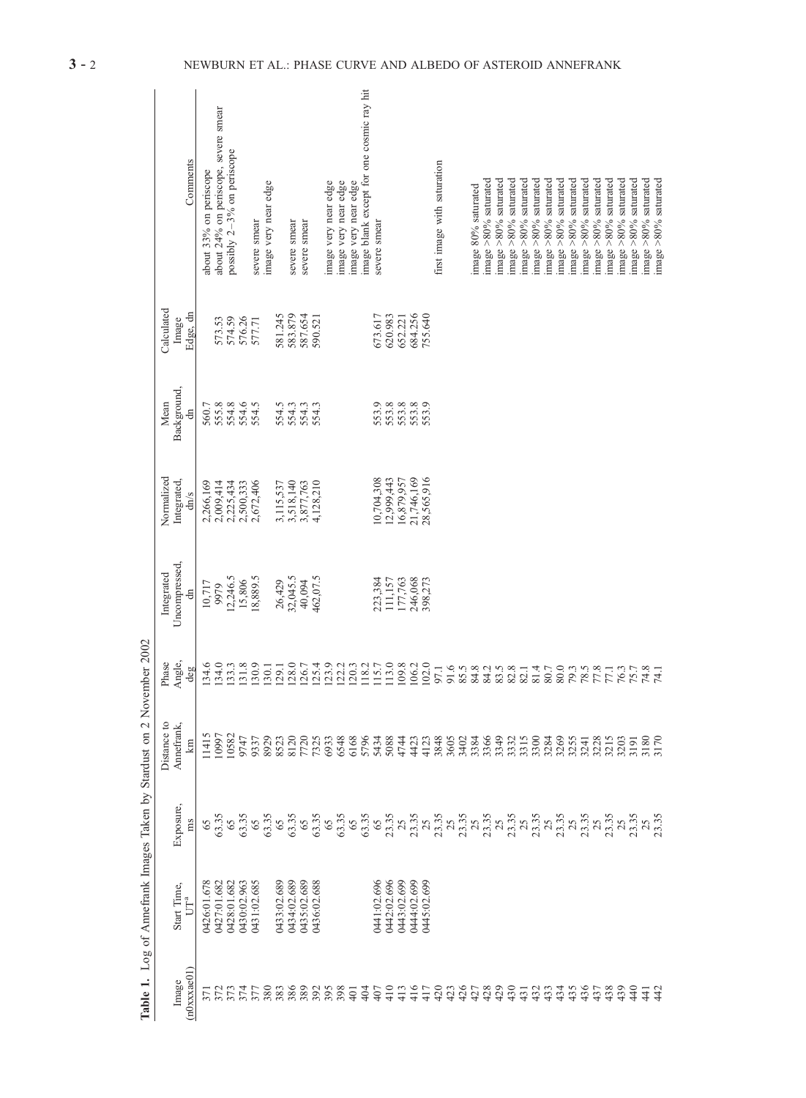| Comments                                             | about 24% on periscope, severe smear<br>about 33% on periscope                                                                                                                                                                  | possibly $2-3%$ on periscope              |                    | severe smear | image very near edge |             | severe smear       | severe smear |           | mage very near edge | image very near edge | image very near edge | image blank except for one cosmic ray hit | severe smear |             |             |             |            | first image with saturation |                      | mage 80% saturated | image >80% saturated | mage $>80\%$ saturated | image $>80\%$ saturated | image $>80\%$ saturated | image $>80\%$ saturated | image $>80\%$ saturated | image $>80\%$ saturated | image $>80\%$ saturated | image $>80\%$ saturated | image $>80\%$ saturated | image >80% saturated | image $>80\%$ saturated | image $>80\%$ saturated | image $>80\%$ saturated | image >80% saturated |
|------------------------------------------------------|---------------------------------------------------------------------------------------------------------------------------------------------------------------------------------------------------------------------------------|-------------------------------------------|--------------------|--------------|----------------------|-------------|--------------------|--------------|-----------|---------------------|----------------------|----------------------|-------------------------------------------|--------------|-------------|-------------|-------------|------------|-----------------------------|----------------------|--------------------|----------------------|------------------------|-------------------------|-------------------------|-------------------------|-------------------------|-------------------------|-------------------------|-------------------------|-------------------------|----------------------|-------------------------|-------------------------|-------------------------|----------------------|
| Calculated<br>Edge, dn<br>Image                      | 573.53                                                                                                                                                                                                                          |                                           | 574.59<br>576.26   | 577.71       |                      |             | 581.245<br>583.879 | 587.654      | 590.521   |                     |                      |                      |                                           | 673.617      | 620.983     | 652.221     | 684.256     | 755.640    |                             |                      |                    |                      |                        |                         |                         |                         |                         |                         |                         |                         |                         |                      |                         |                         |                         |                      |
| Background,<br>Mean<br>đ                             | 560.7                                                                                                                                                                                                                           | 555.8                                     | 554.6              | 554.5        |                      |             | 554.3              | 554.3        | 554.3     |                     |                      |                      |                                           | 553.9        | 553.8       | 553.8       | 553.8       | 553.9      |                             |                      |                    |                      |                        |                         |                         |                         |                         |                         |                         |                         |                         |                      |                         |                         |                         |                      |
| Normalized<br>Integrated,<br>dm/s                    | 2,266,169<br>2,009,414                                                                                                                                                                                                          | 2,225,434                                 | 2,500,333          | 2,672,406    |                      | 3,115,537   | 3,518,140          | 3,877,763    | 4,128,210 |                     |                      |                      |                                           | 0,704,308    | (2,999,443) | 6,879,957   | 21,746,169  | 28,565,916 |                             |                      |                    |                      |                        |                         |                         |                         |                         |                         |                         |                         |                         |                      |                         |                         |                         |                      |
| Uncompressed,<br>Integrated<br>đ                     | 10,717<br>9979                                                                                                                                                                                                                  |                                           | 12,246.5<br>15,806 | 18,889.5     |                      | 26,429      | 32,045.5           | 40,094       | 462,07.5  |                     |                      |                      |                                           | 223,384      | 111,157     | 177,763     | 246,068     | 398,273    |                             |                      |                    |                      |                        |                         |                         |                         |                         |                         |                         |                         |                         |                      |                         |                         |                         |                      |
| Angle,<br>Phase<br>deg                               | 134.6<br>134.0                                                                                                                                                                                                                  | 133.3                                     | 131.8              | 130.9        | 130.1                | 129.1       | 128.0              | 126.7        | 125.4     | 123.9               | 122.2                | 120.3                | 118.2                                     | 115.7        | 113.0       | 109.8       | 106.2       | 102.0      | 97.1                        | 91.6<br>85.3<br>84.8 |                    | 84.2                 |                        |                         | 83.8<br>82.14           |                         |                         |                         |                         |                         |                         |                      |                         |                         |                         |                      |
| Distance to<br>Annefrank,<br>km                      |                                                                                                                                                                                                                                 |                                           |                    |              |                      |             |                    |              |           |                     |                      |                      |                                           |              |             |             |             |            |                             |                      |                    |                      |                        |                         |                         |                         |                         |                         |                         |                         |                         |                      |                         |                         |                         |                      |
| Exposure,<br>ms                                      | అ స్టీ అ స్టీ అ స్టీ అ స్టీ అ స్టీ అ స్టీ ట స్టీ ట స్టీ ట స్టీ ట స్టీ ట స్టీ ట స్టీ ట స్టీ ట స్టీ ట స్టీ ట స్ట<br>అ స్టీ అ స్టీ అ స్టీ అ స్టీ అ స్టీ అ స్టీ ట స్టీ ట స్టీ ట స్టీ ట స్టీ ట స్టీ ట స్టీ ట స్టీ ట స్టీ ట స్టీ ట స్ |                                           |                    |              |                      |             |                    |              |           |                     |                      |                      |                                           |              |             |             |             |            |                             |                      |                    |                      |                        |                         |                         |                         |                         |                         |                         |                         |                         |                      |                         |                         |                         |                      |
| Start Time,<br>$\mathbb{U}\mathbb{T}^a$              | 01.678/                                                                                                                                                                                                                         | 0427:01.682<br>0428:01.682<br>0430:02.963 |                    | 431:02.685   |                      | 0433:02.689 | 0434:02.689        | 0435:02.689  | 02.688    |                     |                      |                      |                                           | 441:02.696   | 0442:02.696 | 0443:02.699 | 0444:02.699 | A45:02.699 |                             |                      |                    |                      |                        |                         |                         |                         |                         |                         |                         |                         |                         |                      |                         |                         |                         |                      |
| $(n0$ <sub>x</sub> $x$ <sub>xae</sub> $01)$<br>Image |                                                                                                                                                                                                                                 |                                           |                    |              |                      |             |                    |              |           |                     |                      | $\overline{401}$     | 404                                       |              |             |             |             |            |                             |                      |                    |                      |                        |                         |                         |                         |                         |                         |                         |                         |                         |                      |                         |                         | <u> 참</u>               |                      |

Table 1. Log of Annefrank Images Taken by Stardust on 2 November 2002 Table 1. Log of Annefrank Images Taken by Stardust on 2 November 2002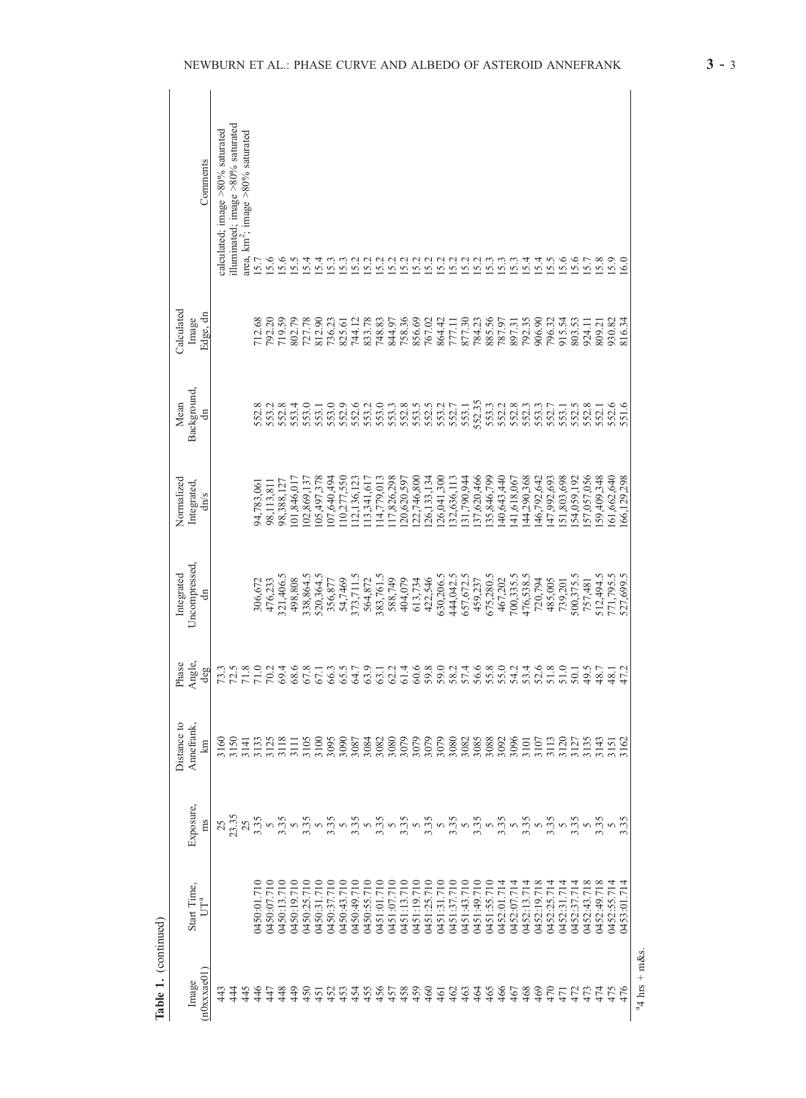| Comments                          | illuminated; image $>80\%$ saturated<br>calculated; image $>80\%$ saturated<br>area, km <sup>2</sup> ; image $>80\%$ saturated                                                                                                                                                                                                                                                                                                                         | 15.7                              | 15.6        | 15.6        | 15.5                       | 15.4                    | 15.4          | 15.3        | 15.3        | 15.2                 | 15.2        | 15.2                 | 15.2        | 15.2                                                                                                                                                                                                                                                                                                              | 15.2               | 15.2        | 15.2        | 15.2        | 15.2                                                  | 15.2        | 15.3        | 15.3        | 15.3        | 15.4             | 15.4        | 15.5        | 15.6             | 15.6                 |             | $15.7$<br>$15.8$<br>$15.9$ |                                     | 6.0         |                  |
|-----------------------------------|--------------------------------------------------------------------------------------------------------------------------------------------------------------------------------------------------------------------------------------------------------------------------------------------------------------------------------------------------------------------------------------------------------------------------------------------------------|-----------------------------------|-------------|-------------|----------------------------|-------------------------|---------------|-------------|-------------|----------------------|-------------|----------------------|-------------|-------------------------------------------------------------------------------------------------------------------------------------------------------------------------------------------------------------------------------------------------------------------------------------------------------------------|--------------------|-------------|-------------|-------------|-------------------------------------------------------|-------------|-------------|-------------|-------------|------------------|-------------|-------------|------------------|----------------------|-------------|----------------------------|-------------------------------------|-------------|------------------|
| Calculated<br>Edge, dn<br>Image   |                                                                                                                                                                                                                                                                                                                                                                                                                                                        | 712.68                            | 792.20      | 719.59      | 802.79<br>727.78<br>812.90 |                         |               | 736.23      | 825.61      | 744.12               | 833.78      | 748.83               | 844.97      | 758.36                                                                                                                                                                                                                                                                                                            | 856.69             | 767.02      | 864.42      |             | 777.11<br>877.30                                      | 784.23      | 885.56      | 787.97      | 897.31      | 792.35           | 906.90      | 796.32      | 915.54           | 803.53               | 924.11      | 809.21<br>930.82           |                                     | 816.34      |                  |
| Background,<br>Mean<br>đ          |                                                                                                                                                                                                                                                                                                                                                                                                                                                        | 552.8                             | 553.2       |             | 553.4                      | 553.0<br>553.1<br>553.0 |               |             | 552.9       | 552.6                | 553.2       |                      |             | 0<br>5333 3533<br>5553 555<br>552                                                                                                                                                                                                                                                                                 |                    |             |             |             | 553.1                                                 | 552.35      |             | 552.2       | 552.8       | 552.3            |             |             | 553.1<br>552.7   | 552.5                |             | 552.1                      | 552.6                               | 551.6       |                  |
| Normalized<br>Integrated,<br>dn/s |                                                                                                                                                                                                                                                                                                                                                                                                                                                        | 94,783,061                        | 98,113,811  | 98,388,127  | 01,846,017                 | 02,869,137              | 05,497,378    | 07,640,494  | 10,277,550  | 12,136,123           | 13,341,617  | 14,779,013           | 17,826,298  | 20,620,597                                                                                                                                                                                                                                                                                                        | 22,746,800         | 26,133,134  | 26,041,300  | 32,636,113  | 31,790,944                                            | 37,620,466  | 35,846,799  | 40,643,440  | 41,618,067  | 44,290,368       | 46,792,642  | 47,992,693  | 51,803,698       | 54,059,192           | 57,057,056  | 59,409,348                 | 61,662,640                          | 66,129,298  |                  |
| Uncompressed<br>Integrated<br>đ   |                                                                                                                                                                                                                                                                                                                                                                                                                                                        | 306,672                           | 476,233     | 321,406.5   | 498,808                    | 338,864.5               | 520,364.5     | 356,877     |             | 54,7469<br>373,711.5 |             | 564,872<br>383,761.5 | 588,749     | 404,079                                                                                                                                                                                                                                                                                                           | 613,734<br>422,546 |             | 630,206.5   | 444,042.5   | 657,672.5                                             | 459,237     | 675,280.5   | 467,202     | 700,335.5   | 476,538.5        | 720,794     | 485,005     | 739,201          | 500,375.5            | 757,481     | 512,494.5                  | 771,795.5                           | 527,699.5   |                  |
| Angle,<br>Phase<br>deg            | 72.5<br>71.8<br>73.3                                                                                                                                                                                                                                                                                                                                                                                                                                   | 71.0                              | 70.2        | 69.4        | 68.6<br>67.8<br>67.1       |                         |               | 66.3        | 65.5        | 64.7                 | 63.9        | 63.1                 | 62.2        | 61.4                                                                                                                                                                                                                                                                                                              |                    |             |             |             | 6<br>6 6 6 6 7 7 8 9 9 9 9<br>6 6 6 6 7 8 9 9 9 9 9 9 |             |             |             |             | $53.6$<br>$51.8$ |             |             | 51.0             | 50.1<br>49.5<br>48.7 |             |                            | 48.1                                | 47.2        |                  |
| Distance to<br>Annefrank,<br>km   | 3160<br>3150<br>3141                                                                                                                                                                                                                                                                                                                                                                                                                                   | 3135<br>3125<br>3111 3100<br>3105 |             |             |                            |                         |               |             | 3090        | 3087                 | 3084        |                      |             | $\begin{smallmatrix} 2082 \\ 3080 \\ 3079 \\ 3079 \\ 3079 \\ 3082 \\ 3083 \\ 3083 \\ 3083 \\ 3083 \\ 3083 \\ 3083 \\ 3083 \\ 3083 \\ 3083 \\ 3083 \\ 3083 \\ 3083 \\ 3083 \\ 3083 \\ 3083 \\ 3083 \\ 3083 \\ 3083 \\ 3083 \\ 3083 \\ 3083 \\ 3083 \\ 3083 \\ 3083 \\ 3083 \\ 3083 \\ 3083 \\ 3083 \\ 3083 \\ 308$ |                    |             |             |             |                                                       |             |             | 3092        | 3096        | 3101             | 3107        |             |                  |                      |             |                            | 3120<br>31213<br>313135<br>31613162 |             |                  |
| Exposure,<br>ms                   | $\mathcal{A}^{(2)}_{\alpha\beta} \mathcal{A}^{(2)}_{\alpha\beta} \mathcal{A}^{(2)}_{\alpha\beta} \mathcal{A}^{(2)}_{\alpha\beta} \mathcal{A}^{(2)}_{\alpha\beta} \mathcal{A}^{(2)}_{\alpha\beta} \mathcal{A}^{(2)}_{\alpha\beta} \mathcal{A}^{(2)}_{\alpha\beta} \mathcal{A}^{(2)}_{\alpha\beta} \mathcal{A}^{(2)}_{\alpha\beta} \mathcal{A}^{(2)}_{\alpha\beta} \mathcal{A}^{(2)}_{\alpha\beta} \mathcal{A}^{(2)}_{\alpha\beta} \mathcal{A}^{(2)}_{\$ |                                   |             |             |                            |                         |               |             |             |                      |             |                      |             |                                                                                                                                                                                                                                                                                                                   |                    |             |             |             |                                                       |             |             |             |             |                  |             |             |                  |                      |             |                            |                                     |             |                  |
| Start Time,<br>$UT^a$             |                                                                                                                                                                                                                                                                                                                                                                                                                                                        | A50:01.710                        | 0450:07.710 | 0450:13.710 | 0450:19.710                | 0450:25.710             | 0450:31.710   | 0450:37.710 | 0450:43.710 | 0450:49.710          | 0450:55.710 | 0451:01.710          | 0451:07.710 | 0451:13.710                                                                                                                                                                                                                                                                                                       | 0451:19.710        | 0451:25.710 | 0451:31.710 | 0451:37.710 | 0451:43.710                                           | 0451:49.710 | 0451:55.710 | 0452:01.714 | 0452:07.714 | 0452:13.714      | 0452:19.718 | 0452:25.714 | 0452:31.714      | 0452:37.714          | 0452:43.718 | 0452:49.718                | 0452:55.714                         | 0453:01.714 |                  |
| $n0$ x $x$ $a$ $e$ $01$<br>Image  | 43<br>$\frac{4}{4}$<br>45                                                                                                                                                                                                                                                                                                                                                                                                                              | 46                                | <b>はまま</b>  |             |                            | 450                     | $\frac{5}{4}$ |             | 453         | 454                  | 455         | 456                  |             | $57890$<br>$4449$                                                                                                                                                                                                                                                                                                 |                    |             | 461         | 462         | 463                                                   | 464         | 465         | 466         | 467         | 468              | 469         | 470         | $\overline{471}$ |                      |             | 4444<br>4544               |                                     | 476         | $a_4$ hrs + m&s. |

Table 1. (continued)

Table 1. (continued)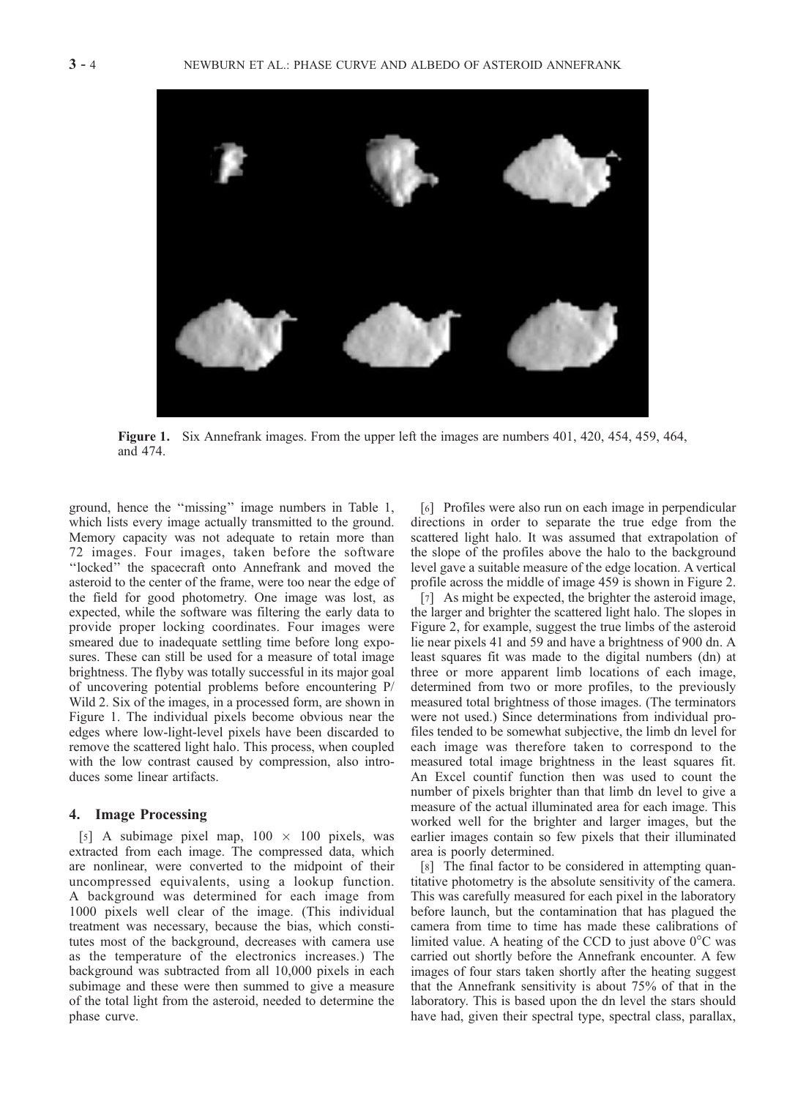

Figure 1. Six Annefrank images. From the upper left the images are numbers 401, 420, 454, 459, 464, and 474.

ground, hence the ''missing'' image numbers in Table 1, which lists every image actually transmitted to the ground. Memory capacity was not adequate to retain more than 72 images. Four images, taken before the software ''locked'' the spacecraft onto Annefrank and moved the asteroid to the center of the frame, were too near the edge of the field for good photometry. One image was lost, as expected, while the software was filtering the early data to provide proper locking coordinates. Four images were smeared due to inadequate settling time before long exposures. These can still be used for a measure of total image brightness. The flyby was totally successful in its major goal of uncovering potential problems before encountering P/ Wild 2. Six of the images, in a processed form, are shown in Figure 1. The individual pixels become obvious near the edges where low-light-level pixels have been discarded to remove the scattered light halo. This process, when coupled with the low contrast caused by compression, also introduces some linear artifacts.

#### 4. Image Processing

[5] A subimage pixel map,  $100 \times 100$  pixels, was extracted from each image. The compressed data, which are nonlinear, were converted to the midpoint of their uncompressed equivalents, using a lookup function. A background was determined for each image from 1000 pixels well clear of the image. (This individual treatment was necessary, because the bias, which constitutes most of the background, decreases with camera use as the temperature of the electronics increases.) The background was subtracted from all 10,000 pixels in each subimage and these were then summed to give a measure of the total light from the asteroid, needed to determine the phase curve.

[6] Profiles were also run on each image in perpendicular directions in order to separate the true edge from the scattered light halo. It was assumed that extrapolation of the slope of the profiles above the halo to the background level gave a suitable measure of the edge location. A vertical profile across the middle of image 459 is shown in Figure 2.

[7] As might be expected, the brighter the asteroid image, the larger and brighter the scattered light halo. The slopes in Figure 2, for example, suggest the true limbs of the asteroid lie near pixels 41 and 59 and have a brightness of 900 dn. A least squares fit was made to the digital numbers (dn) at three or more apparent limb locations of each image, determined from two or more profiles, to the previously measured total brightness of those images. (The terminators were not used.) Since determinations from individual profiles tended to be somewhat subjective, the limb dn level for each image was therefore taken to correspond to the measured total image brightness in the least squares fit. An Excel countif function then was used to count the number of pixels brighter than that limb dn level to give a measure of the actual illuminated area for each image. This worked well for the brighter and larger images, but the earlier images contain so few pixels that their illuminated area is poorly determined.

[8] The final factor to be considered in attempting quantitative photometry is the absolute sensitivity of the camera. This was carefully measured for each pixel in the laboratory before launch, but the contamination that has plagued the camera from time to time has made these calibrations of limited value. A heating of the CCD to just above  $0^{\circ}$ C was carried out shortly before the Annefrank encounter. A few images of four stars taken shortly after the heating suggest that the Annefrank sensitivity is about 75% of that in the laboratory. This is based upon the dn level the stars should have had, given their spectral type, spectral class, parallax,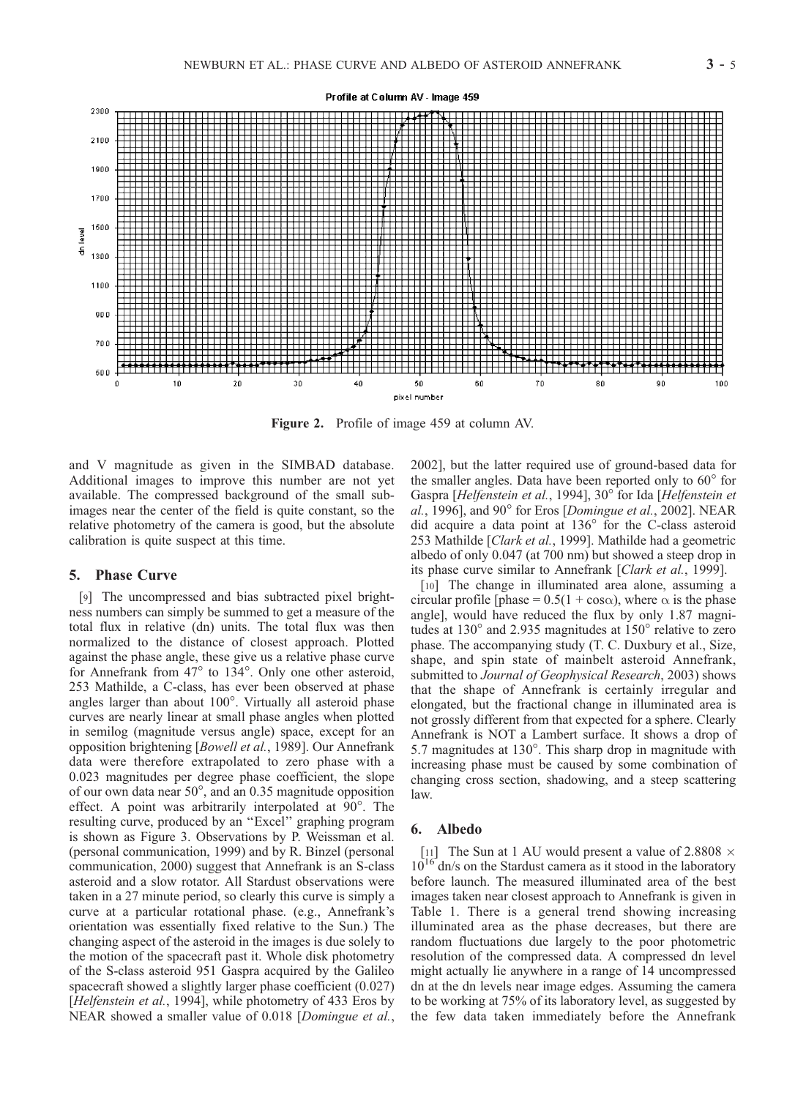

Figure 2. Profile of image 459 at column AV.

and V magnitude as given in the SIMBAD database. Additional images to improve this number are not yet available. The compressed background of the small subimages near the center of the field is quite constant, so the relative photometry of the camera is good, but the absolute calibration is quite suspect at this time.

#### 5. Phase Curve

[9] The uncompressed and bias subtracted pixel brightness numbers can simply be summed to get a measure of the total flux in relative (dn) units. The total flux was then normalized to the distance of closest approach. Plotted against the phase angle, these give us a relative phase curve for Annefrank from  $47^\circ$  to  $134^\circ$ . Only one other asteroid, 253 Mathilde, a C-class, has ever been observed at phase angles larger than about  $100^\circ$ . Virtually all asteroid phase curves are nearly linear at small phase angles when plotted in semilog (magnitude versus angle) space, except for an opposition brightening [Bowell et al., 1989]. Our Annefrank data were therefore extrapolated to zero phase with a 0.023 magnitudes per degree phase coefficient, the slope of our own data near  $50^{\circ}$ , and an 0.35 magnitude opposition effect. A point was arbitrarily interpolated at  $90^\circ$ . The resulting curve, produced by an ''Excel'' graphing program is shown as Figure 3. Observations by P. Weissman et al. (personal communication, 1999) and by R. Binzel (personal communication, 2000) suggest that Annefrank is an S-class asteroid and a slow rotator. All Stardust observations were taken in a 27 minute period, so clearly this curve is simply a curve at a particular rotational phase. (e.g., Annefrank's orientation was essentially fixed relative to the Sun.) The changing aspect of the asteroid in the images is due solely to the motion of the spacecraft past it. Whole disk photometry of the S-class asteroid 951 Gaspra acquired by the Galileo spacecraft showed a slightly larger phase coefficient (0.027) [Helfenstein et al., 1994], while photometry of 433 Eros by NEAR showed a smaller value of 0.018 [Domingue et al.,

2002], but the latter required use of ground-based data for the smaller angles. Data have been reported only to  $60^{\circ}$  for Gaspra [Helfenstein et al., 1994], 30° for Ida [Helfenstein et al., 1996], and 90 $^{\circ}$  for Eros [Domingue et al., 2002]. NEAR did acquire a data point at 136° for the C-class asteroid 253 Mathilde [Clark et al., 1999]. Mathilde had a geometric albedo of only 0.047 (at 700 nm) but showed a steep drop in its phase curve similar to Annefrank [Clark et al., 1999].

[10] The change in illuminated area alone, assuming a circular profile [phase =  $0.5(1 + \cos \alpha)$ , where  $\alpha$  is the phase angle], would have reduced the flux by only 1.87 magnitudes at  $130^{\circ}$  and 2.935 magnitudes at  $150^{\circ}$  relative to zero phase. The accompanying study (T. C. Duxbury et al., Size, shape, and spin state of mainbelt asteroid Annefrank, submitted to Journal of Geophysical Research, 2003) shows that the shape of Annefrank is certainly irregular and elongated, but the fractional change in illuminated area is not grossly different from that expected for a sphere. Clearly Annefrank is NOT a Lambert surface. It shows a drop of 5.7 magnitudes at  $130^\circ$ . This sharp drop in magnitude with increasing phase must be caused by some combination of changing cross section, shadowing, and a steep scattering law.

## 6. Albedo

[11] The Sun at 1 AU would present a value of 2.8808  $\times$  $10^{16}$  dn/s on the Stardust camera as it stood in the laboratory before launch. The measured illuminated area of the best images taken near closest approach to Annefrank is given in Table 1. There is a general trend showing increasing illuminated area as the phase decreases, but there are random fluctuations due largely to the poor photometric resolution of the compressed data. A compressed dn level might actually lie anywhere in a range of 14 uncompressed dn at the dn levels near image edges. Assuming the camera to be working at 75% of its laboratory level, as suggested by the few data taken immediately before the Annefrank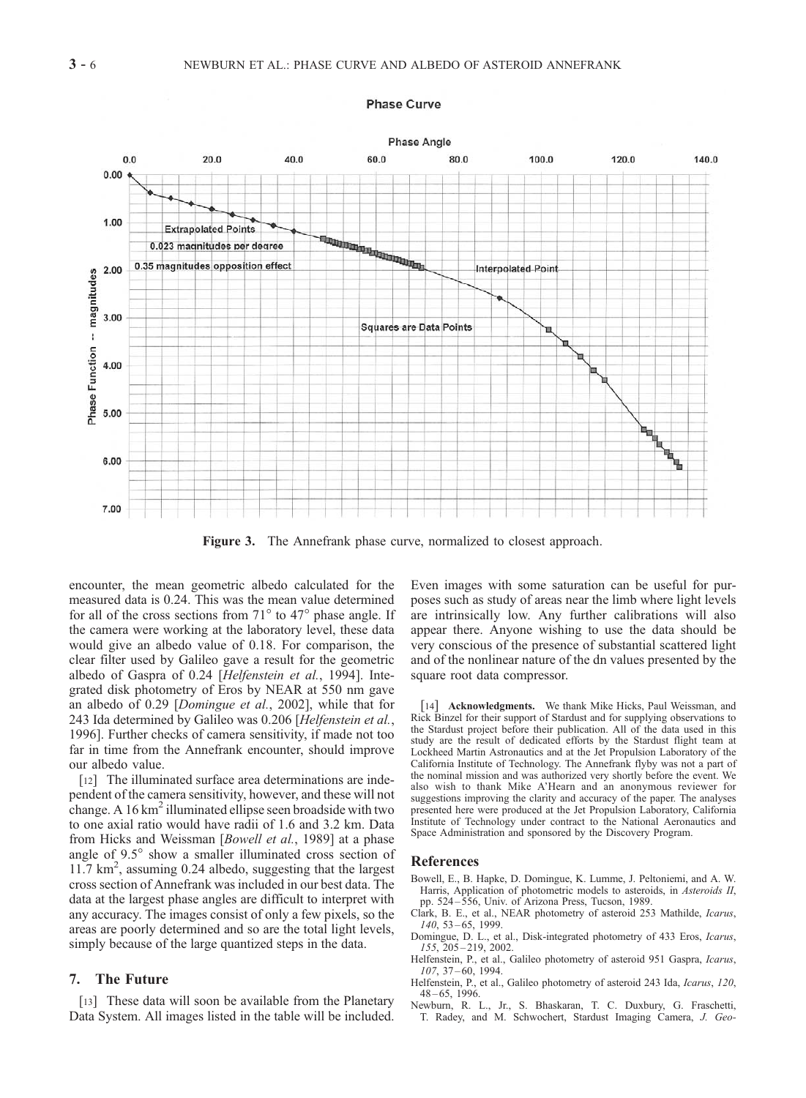

**Phase Curve** 

Figure 3. The Annefrank phase curve, normalized to closest approach.

encounter, the mean geometric albedo calculated for the measured data is 0.24. This was the mean value determined for all of the cross sections from  $71^{\circ}$  to  $47^{\circ}$  phase angle. If the camera were working at the laboratory level, these data would give an albedo value of 0.18. For comparison, the clear filter used by Galileo gave a result for the geometric albedo of Gaspra of 0.24 [Helfenstein et al., 1994]. Integrated disk photometry of Eros by NEAR at 550 nm gave an albedo of 0.29 [Domingue et al., 2002], while that for 243 Ida determined by Galileo was 0.206 [Helfenstein et al., 1996]. Further checks of camera sensitivity, if made not too far in time from the Annefrank encounter, should improve our albedo value.

[12] The illuminated surface area determinations are independent of the camera sensitivity, however, and these will not change. A  $16 \text{ km}^2$  illuminated ellipse seen broadside with two to one axial ratio would have radii of 1.6 and 3.2 km. Data from Hicks and Weissman [Bowell et al., 1989] at a phase angle of 9.5° show a smaller illuminated cross section of 11.7 km<sup>2</sup>, assuming 0.24 albedo, suggesting that the largest cross section of Annefrank was included in our best data. The data at the largest phase angles are difficult to interpret with any accuracy. The images consist of only a few pixels, so the areas are poorly determined and so are the total light levels, simply because of the large quantized steps in the data.

## 7. The Future

[13] These data will soon be available from the Planetary Data System. All images listed in the table will be included. Even images with some saturation can be useful for purposes such as study of areas near the limb where light levels are intrinsically low. Any further calibrations will also appear there. Anyone wishing to use the data should be very conscious of the presence of substantial scattered light and of the nonlinear nature of the dn values presented by the square root data compressor.

[14] **Acknowledgments.** We thank Mike Hicks, Paul Weissman, and Rick Binzel for their support of Stardust and for supplying observations to the Stardust project before their publication. All of the data used in this study are the result of dedicated efforts by the Stardust flight team at Lockheed Martin Astronautics and at the Jet Propulsion Laboratory of the California Institute of Technology. The Annefrank flyby was not a part of the nominal mission and was authorized very shortly before the event. We also wish to thank Mike A'Hearn and an anonymous reviewer for suggestions improving the clarity and accuracy of the paper. The analyses presented here were produced at the Jet Propulsion Laboratory, California Institute of Technology under contract to the National Aeronautics and Space Administration and sponsored by the Discovery Program.

#### References

- Bowell, E., B. Hapke, D. Domingue, K. Lumme, J. Peltoniemi, and A. W. Harris, Application of photometric models to asteroids, in Asteroids II, pp. 524 – 556, Univ. of Arizona Press, Tucson, 1989.
- Clark, B. E., et al., NEAR photometry of asteroid 253 Mathilde, Icarus, 140, 53 – 65, 1999.
- Domingue, D. L., et al., Disk-integrated photometry of 433 Eros, Icarus, 155, 205 – 219, 2002.
- Helfenstein, P., et al., Galileo photometry of asteroid 951 Gaspra, Icarus,  $107, 37 - 60, 1994$
- Helfenstein, P., et al., Galileo photometry of asteroid 243 Ida, Icarus, 120,  $48 - 65$ , 1996.
- Newburn, R. L., Jr., S. Bhaskaran, T. C. Duxbury, G. Fraschetti, T. Radey, and M. Schwochert, Stardust Imaging Camera, J. Geo-